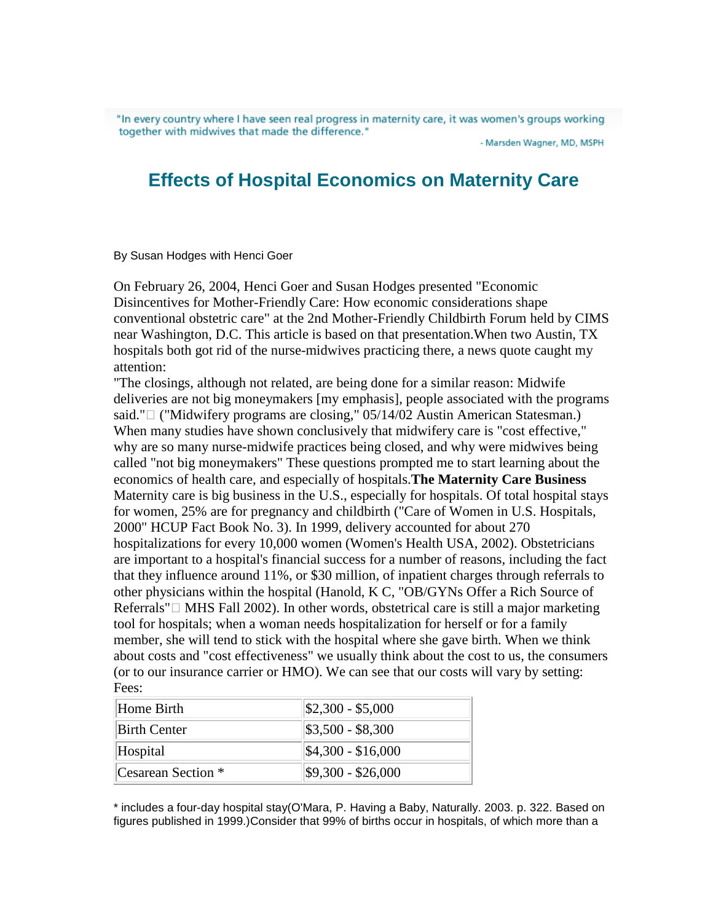"In every country where I have seen real progress in maternity care, it was women's groups working together with midwives that made the difference."

- Marsden Wagner, MD, MSPH

## **Effects of Hospital Economics on Maternity Care**

By Susan Hodges with Henci Goer

On February 26, 2004, Henci Goer and Susan Hodges presented "Economic Disincentives for Mother-Friendly Care: How economic considerations shape conventional obstetric care" at the 2nd Mother-Friendly Childbirth Forum held by CIMS near Washington, D.C. This article is based on that presentation.When two Austin, TX hospitals both got rid of the nurse-midwives practicing there, a news quote caught my attention:

"The closings, although not related, are being done for a similar reason: Midwife deliveries are not big moneymakers [my emphasis], people associated with the programs said." ("Midwifery programs are closing," 05/14/02 Austin American Statesman.) When many studies have shown conclusively that midwifery care is "cost effective," why are so many nurse-midwife practices being closed, and why were midwives being called "not big moneymakers" These questions prompted me to start learning about the economics of health care, and especially of hospitals.**The Maternity Care Business** Maternity care is big business in the U.S., especially for hospitals. Of total hospital stays for women, 25% are for pregnancy and childbirth ("Care of Women in U.S. Hospitals, 2000" HCUP Fact Book No. 3). In 1999, delivery accounted for about 270 hospitalizations for every 10,000 women (Women's Health USA, 2002). Obstetricians are important to a hospital's financial success for a number of reasons, including the fact that they influence around 11%, or \$30 million, of inpatient charges through referrals to other physicians within the hospital (Hanold, K C, "OB/GYNs Offer a Rich Source of Referrals" MHS Fall 2002). In other words, obstetrical care is still a major marketing tool for hospitals; when a woman needs hospitalization for herself or for a family member, she will tend to stick with the hospital where she gave birth. When we think about costs and "cost effectiveness" we usually think about the cost to us, the consumers (or to our insurance carrier or HMO). We can see that our costs will vary by setting: Fees:

| Home Birth          | $ \$2,300 - \$5,000$        |
|---------------------|-----------------------------|
| <b>Birth Center</b> | $\$\,3,500 - \$\,8,300$     |
| Hospital            | $\frac{$4,300 - $16,000}{}$ |
| Cesarean Section *  | $$9,300 - $26,000$          |

\* includes a four-day hospital stay(O'Mara, P. Having a Baby, Naturally. 2003. p. 322. Based on figures published in 1999.)Consider that 99% of births occur in hospitals, of which more than a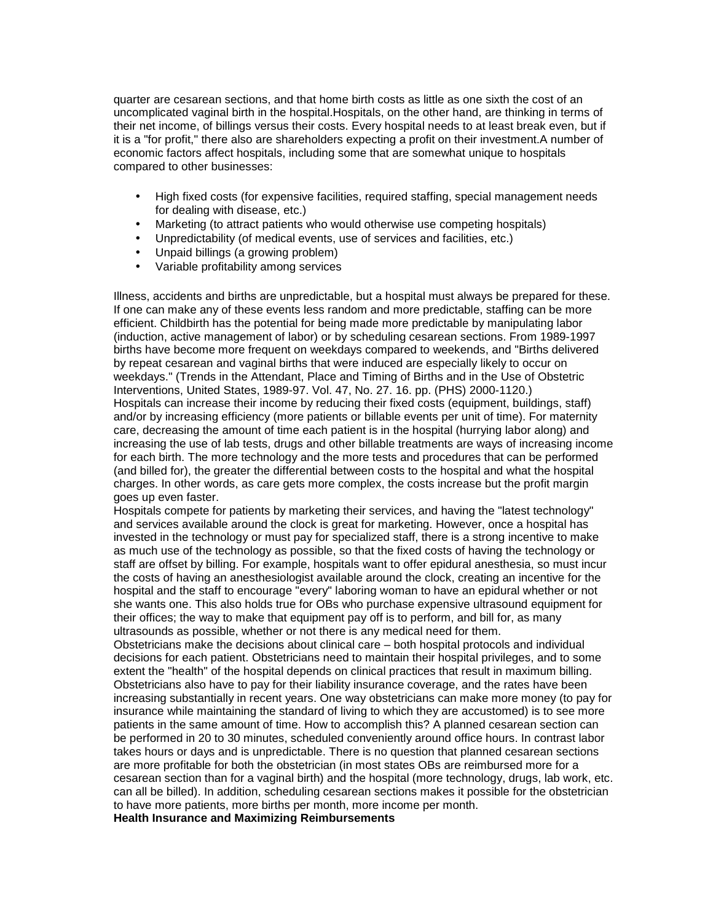quarter are cesarean sections, and that home birth costs as little as one sixth the cost of an uncomplicated vaginal birth in the hospital.Hospitals, on the other hand, are thinking in terms of their net income, of billings versus their costs. Every hospital needs to at least break even, but if it is a "for profit," there also are shareholders expecting a profit on their investment.A number of economic factors affect hospitals, including some that are somewhat unique to hospitals compared to other businesses:

- High fixed costs (for expensive facilities, required staffing, special management needs for dealing with disease, etc.)
- Marketing (to attract patients who would otherwise use competing hospitals)
- Unpredictability (of medical events, use of services and facilities, etc.)
- Unpaid billings (a growing problem)
- Variable profitability among services

Illness, accidents and births are unpredictable, but a hospital must always be prepared for these. If one can make any of these events less random and more predictable, staffing can be more efficient. Childbirth has the potential for being made more predictable by manipulating labor (induction, active management of labor) or by scheduling cesarean sections. From 1989-1997 births have become more frequent on weekdays compared to weekends, and "Births delivered by repeat cesarean and vaginal births that were induced are especially likely to occur on weekdays." (Trends in the Attendant, Place and Timing of Births and in the Use of Obstetric Interventions, United States, 1989-97. Vol. 47, No. 27. 16. pp. (PHS) 2000-1120.) Hospitals can increase their income by reducing their fixed costs (equipment, buildings, staff) and/or by increasing efficiency (more patients or billable events per unit of time). For maternity care, decreasing the amount of time each patient is in the hospital (hurrying labor along) and increasing the use of lab tests, drugs and other billable treatments are ways of increasing income for each birth. The more technology and the more tests and procedures that can be performed (and billed for), the greater the differential between costs to the hospital and what the hospital charges. In other words, as care gets more complex, the costs increase but the profit margin goes up even faster.

Hospitals compete for patients by marketing their services, and having the "latest technology" and services available around the clock is great for marketing. However, once a hospital has invested in the technology or must pay for specialized staff, there is a strong incentive to make as much use of the technology as possible, so that the fixed costs of having the technology or staff are offset by billing. For example, hospitals want to offer epidural anesthesia, so must incur the costs of having an anesthesiologist available around the clock, creating an incentive for the hospital and the staff to encourage "every" laboring woman to have an epidural whether or not she wants one. This also holds true for OBs who purchase expensive ultrasound equipment for their offices; the way to make that equipment pay off is to perform, and bill for, as many ultrasounds as possible, whether or not there is any medical need for them.

Obstetricians make the decisions about clinical care – both hospital protocols and individual decisions for each patient. Obstetricians need to maintain their hospital privileges, and to some extent the "health" of the hospital depends on clinical practices that result in maximum billing. Obstetricians also have to pay for their liability insurance coverage, and the rates have been increasing substantially in recent years. One way obstetricians can make more money (to pay for insurance while maintaining the standard of living to which they are accustomed) is to see more patients in the same amount of time. How to accomplish this? A planned cesarean section can be performed in 20 to 30 minutes, scheduled conveniently around office hours. In contrast labor takes hours or days and is unpredictable. There is no question that planned cesarean sections are more profitable for both the obstetrician (in most states OBs are reimbursed more for a cesarean section than for a vaginal birth) and the hospital (more technology, drugs, lab work, etc. can all be billed). In addition, scheduling cesarean sections makes it possible for the obstetrician to have more patients, more births per month, more income per month. **Health Insurance and Maximizing Reimbursements**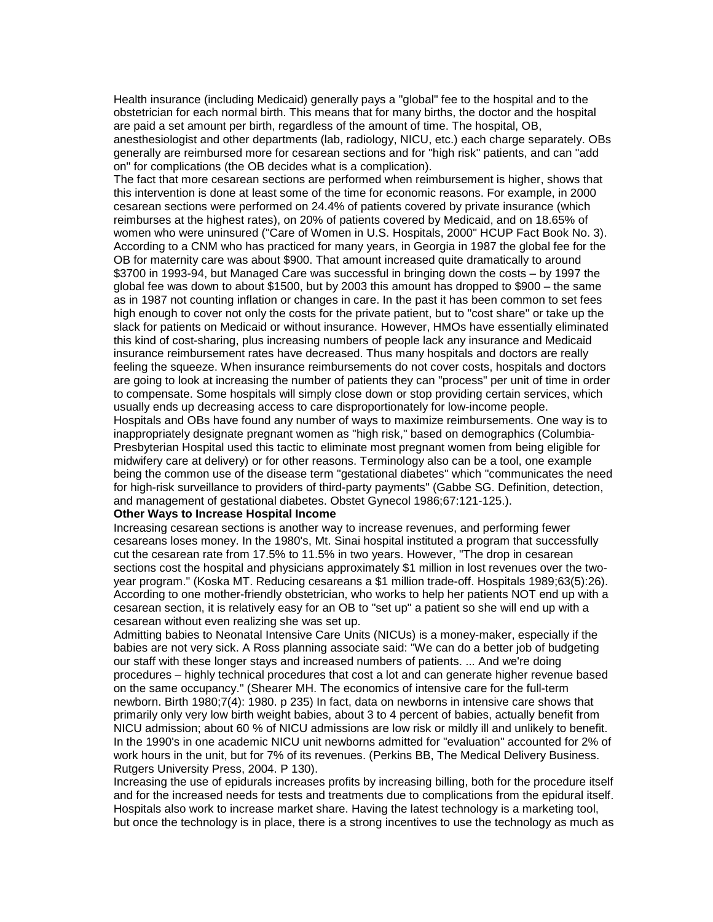Health insurance (including Medicaid) generally pays a "global" fee to the hospital and to the obstetrician for each normal birth. This means that for many births, the doctor and the hospital are paid a set amount per birth, regardless of the amount of time. The hospital, OB, anesthesiologist and other departments (lab, radiology, NICU, etc.) each charge separately. OBs generally are reimbursed more for cesarean sections and for "high risk" patients, and can "add on" for complications (the OB decides what is a complication).

The fact that more cesarean sections are performed when reimbursement is higher, shows that this intervention is done at least some of the time for economic reasons. For example, in 2000 cesarean sections were performed on 24.4% of patients covered by private insurance (which reimburses at the highest rates), on 20% of patients covered by Medicaid, and on 18.65% of women who were uninsured ("Care of Women in U.S. Hospitals, 2000" HCUP Fact Book No. 3). According to a CNM who has practiced for many years, in Georgia in 1987 the global fee for the OB for maternity care was about \$900. That amount increased quite dramatically to around \$3700 in 1993-94, but Managed Care was successful in bringing down the costs – by 1997 the global fee was down to about \$1500, but by 2003 this amount has dropped to \$900 – the same as in 1987 not counting inflation or changes in care. In the past it has been common to set fees high enough to cover not only the costs for the private patient, but to "cost share" or take up the slack for patients on Medicaid or without insurance. However, HMOs have essentially eliminated this kind of cost-sharing, plus increasing numbers of people lack any insurance and Medicaid insurance reimbursement rates have decreased. Thus many hospitals and doctors are really feeling the squeeze. When insurance reimbursements do not cover costs, hospitals and doctors are going to look at increasing the number of patients they can "process" per unit of time in order to compensate. Some hospitals will simply close down or stop providing certain services, which usually ends up decreasing access to care disproportionately for low-income people. Hospitals and OBs have found any number of ways to maximize reimbursements. One way is to inappropriately designate pregnant women as "high risk," based on demographics (Columbia-Presbyterian Hospital used this tactic to eliminate most pregnant women from being eligible for midwifery care at delivery) or for other reasons. Terminology also can be a tool, one example

being the common use of the disease term "gestational diabetes" which "communicates the need for high-risk surveillance to providers of third-party payments" (Gabbe SG. Definition, detection, and management of gestational diabetes. Obstet Gynecol 1986;67:121-125.).

## **Other Ways to Increase Hospital Income**

Increasing cesarean sections is another way to increase revenues, and performing fewer cesareans loses money. In the 1980's, Mt. Sinai hospital instituted a program that successfully cut the cesarean rate from 17.5% to 11.5% in two years. However, "The drop in cesarean sections cost the hospital and physicians approximately \$1 million in lost revenues over the twoyear program." (Koska MT. Reducing cesareans a \$1 million trade-off. Hospitals 1989;63(5):26). According to one mother-friendly obstetrician, who works to help her patients NOT end up with a cesarean section, it is relatively easy for an OB to "set up" a patient so she will end up with a cesarean without even realizing she was set up.

Admitting babies to Neonatal Intensive Care Units (NICUs) is a money-maker, especially if the babies are not very sick. A Ross planning associate said: "We can do a better job of budgeting our staff with these longer stays and increased numbers of patients. ... And we're doing procedures – highly technical procedures that cost a lot and can generate higher revenue based on the same occupancy." (Shearer MH. The economics of intensive care for the full-term newborn. Birth 1980;7(4): 1980. p 235) In fact, data on newborns in intensive care shows that primarily only very low birth weight babies, about 3 to 4 percent of babies, actually benefit from NICU admission; about 60 % of NICU admissions are low risk or mildly ill and unlikely to benefit. In the 1990's in one academic NICU unit newborns admitted for "evaluation" accounted for 2% of work hours in the unit, but for 7% of its revenues. (Perkins BB, The Medical Delivery Business. Rutgers University Press, 2004. P 130).

Increasing the use of epidurals increases profits by increasing billing, both for the procedure itself and for the increased needs for tests and treatments due to complications from the epidural itself. Hospitals also work to increase market share. Having the latest technology is a marketing tool, but once the technology is in place, there is a strong incentives to use the technology as much as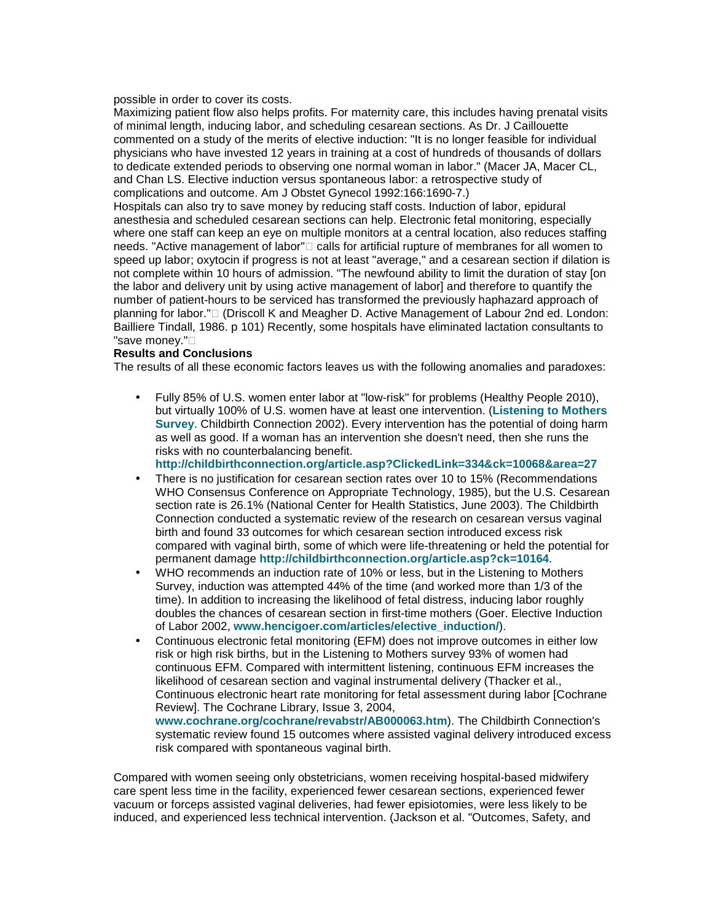possible in order to cover its costs.

Maximizing patient flow also helps profits. For maternity care, this includes having prenatal visits of minimal length, inducing labor, and scheduling cesarean sections. As Dr. J Caillouette commented on a study of the merits of elective induction: "It is no longer feasible for individual physicians who have invested 12 years in training at a cost of hundreds of thousands of dollars to dedicate extended periods to observing one normal woman in labor." (Macer JA, Macer CL, and Chan LS. Elective induction versus spontaneous labor: a retrospective study of complications and outcome. Am J Obstet Gynecol 1992:166:1690-7.)

Hospitals can also try to save money by reducing staff costs. Induction of labor, epidural anesthesia and scheduled cesarean sections can help. Electronic fetal monitoring, especially where one staff can keep an eye on multiple monitors at a central location, also reduces staffing needs. "Active management of labor" calls for artificial rupture of membranes for all women to speed up labor; oxytocin if progress is not at least "average," and a cesarean section if dilation is not complete within 10 hours of admission. "The newfound ability to limit the duration of stay [on the labor and delivery unit by using active management of labor] and therefore to quantify the number of patient-hours to be serviced has transformed the previously haphazard approach of planning for labor." (Driscoll K and Meagher D. Active Management of Labour 2nd ed. London: Bailliere Tindall, 1986. p 101) Recently, some hospitals have eliminated lactation consultants to "save money."

## **Results and Conclusions**

The results of all these economic factors leaves us with the following anomalies and paradoxes:

• Fully 85% of U.S. women enter labor at "low-risk" for problems (Healthy People 2010), but virtually 100% of U.S. women have at least one intervention. (**Listening to Mothers Survey**. Childbirth Connection 2002). Every intervention has the potential of doing harm as well as good. If a woman has an intervention she doesn't need, then she runs the risks with no counterbalancing benefit.

**http://childbirthconnection.org/article.asp?ClickedLink=334&ck=10068&area=27**

- There is no justification for cesarean section rates over 10 to 15% (Recommendations WHO Consensus Conference on Appropriate Technology, 1985), but the U.S. Cesarean section rate is 26.1% (National Center for Health Statistics, June 2003). The Childbirth Connection conducted a systematic review of the research on cesarean versus vaginal birth and found 33 outcomes for which cesarean section introduced excess risk compared with vaginal birth, some of which were life-threatening or held the potential for permanent damage **http://childbirthconnection.org/article.asp?ck=10164**.
- WHO recommends an induction rate of 10% or less, but in the Listening to Mothers Survey, induction was attempted 44% of the time (and worked more than 1/3 of the time). In addition to increasing the likelihood of fetal distress, inducing labor roughly doubles the chances of cesarean section in first-time mothers (Goer. Elective Induction of Labor 2002, **www.hencigoer.com/articles/elective\_induction/**).
- Continuous electronic fetal monitoring (EFM) does not improve outcomes in either low risk or high risk births, but in the Listening to Mothers survey 93% of women had continuous EFM. Compared with intermittent listening, continuous EFM increases the likelihood of cesarean section and vaginal instrumental delivery (Thacker et al., Continuous electronic heart rate monitoring for fetal assessment during labor [Cochrane Review]. The Cochrane Library, Issue 3, 2004, **www.cochrane.org/cochrane/revabstr/AB000063.htm**). The Childbirth Connection's

systematic review found 15 outcomes where assisted vaginal delivery introduced excess risk compared with spontaneous vaginal birth.

Compared with women seeing only obstetricians, women receiving hospital-based midwifery care spent less time in the facility, experienced fewer cesarean sections, experienced fewer vacuum or forceps assisted vaginal deliveries, had fewer episiotomies, were less likely to be induced, and experienced less technical intervention. (Jackson et al. "Outcomes, Safety, and